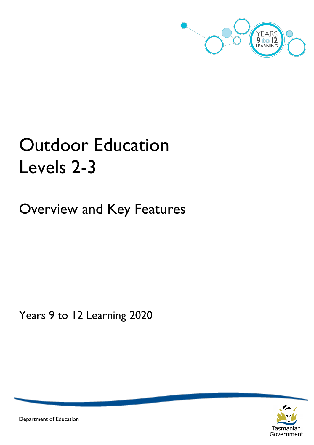

# Outdoor Education Levels 2-3

Overview and Key Features

Years 9 to 12 Learning 2020



Department of Education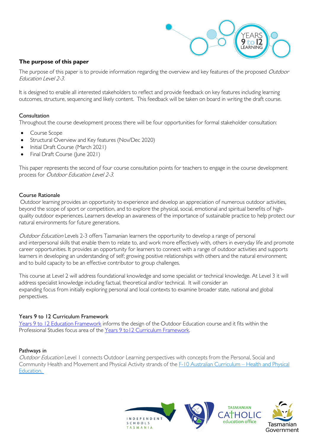

#### **The purpose of this paper**

The purpose of this paper is to provide information regarding the overview and key features of the proposed Outdoor Education Level 2-3.

It is designed to enable all interested stakeholders to reflect and provide feedback on key features including learning outcomes, structure, sequencing and likely content. This feedback will be taken on board in writing the draft course.

#### Consultation

Throughout the course development process there will be four opportunities for formal stakeholder consultation:

- Course Scope
- Structural Overview and Key features (Nov/Dec 2020)
- Initial Draft Course (March 2021)
- Final Draft Course (June 2021)

This paper represents the second of four course consultation points for teachers to engage in the course development process for Outdoor Education Level 2-3.

#### Course Rationale

Outdoor learning provides an opportunity to experience and develop an appreciation of numerous outdoor activities, beyond the scope of sport or competition, and to explore the physical, social, emotional and spiritual benefits of highquality outdoor experiences. Learners develop an awareness of the importance of sustainable practice to help protect our natural environments for future generations.

Outdoor Education Levels 2-3 offers Tasmanian learners the opportunity to develop a range of personal and interpersonal skills that enable them to relate to, and work more effectively with, others in everyday life and promote career opportunities. It provides an opportunity for learners to connect with a range of outdoor activities and supports learners in developing an understanding of self; growing positive relationships with others and the natural environment; and to build capacity to be an effective contributor to group challenges.

This course at Level 2 will address foundational knowledge and some specialist or technical knowledge. At Level 3 it will address specialist knowledge including factual, theoretical and/or technical. It will consider an expanding focus from initially exploring personal and local contexts to examine broader state, national and global perspectives.

#### Years 9 to 12 Curriculum Framework

[Years 9 to 12 Education Framework](https://publicdocumentcentre.education.tas.gov.au/library/Shared%20Documents/Years-9-to-12-Education-Framework.pdf) informs the design of the Outdoor Education course and it fits within the Professional Studies focus area of the Years 9 to 12 Curriculum Framework.

#### Pathways in

Outdoor Education Level 1 connects Outdoor Learning perspectives with concepts from the Personal, Social and Community Health and Movement and Physical Activity strands of the [F-10 Australian Curriculum –](http://www.australiancurriculum.edu.au/health-and-physical-education/curriculum/f-10?layout=1) Health and Physical [Education.](http://www.australiancurriculum.edu.au/health-and-physical-education/curriculum/f-10?layout=1)

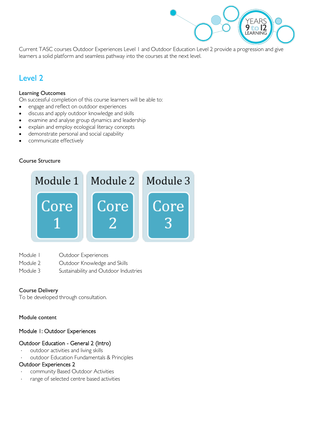

Current TASC courses Outdoor Experiences Level 1 and Outdoor Education Level 2 provide a progression and give learners a solid platform and seamless pathway into the courses at the next level.

# Level 2

#### Learning Outcomes

On successful completion of this course learners will be able to:

- engage and reflect on outdoor experiences
- discuss and apply outdoor knowledge and skills
- examine and analyse group dynamics and leadership
- explain and employ ecological literacy concepts
- demonstrate personal and social capability
- communicate effectively

#### Course Structure



- Module I Outdoor Experiences
- Module 2 **Outdoor Knowledge and Skills**
- Module 3 Sustainability and Outdoor Industries

#### Course Delivery

To be developed through consultation.

#### Module content

#### Module 1: Outdoor Experiences

#### Outdoor Education - General 2 (Intro)

- outdoor activities and living skills
- outdoor Education Fundamentals & Principles

#### Outdoor Experiences 2

- community Based Outdoor Activities
- range of selected centre based activities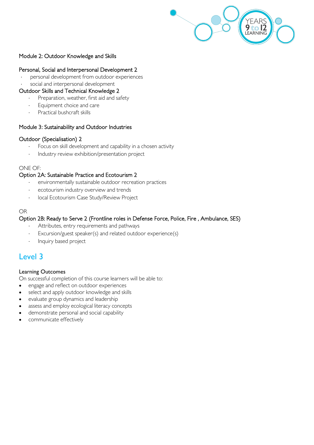

#### Module 2: Outdoor Knowledge and Skills

#### Personal, Social and Interpersonal Development 2

- personal development from outdoor experiences
- social and interpersonal development

#### Outdoor Skills and Technical Knowledge 2

- Preparation, weather, first aid and safety
- Equipment choice and care
- Practical bushcraft skills

#### Module 3: Sustainability and Outdoor Industries

#### Outdoor (Specialisation) 2

- Focus on skill development and capability in a chosen activity
- Industry review exhibition/presentation project

#### ONE OF:

#### Option 2A: Sustainable Practice and Ecotourism 2

- environmentally sustainable outdoor recreation practices
- ecotourism industry overview and trends
- ⋅ local Ecotourism Case Study/Review Project

#### OR

#### Option 2B: Ready to Serve 2 (Frontline roles in Defense Force, Police, Fire , Ambulance, SES)

- Attributes, entry requirements and pathways
- Excursion/guest speaker(s) and related outdoor experience(s)
- Inquiry based project

# Level 3

#### Learning Outcomes

On successful completion of this course learners will be able to:

- engage and reflect on outdoor experiences
- select and apply outdoor knowledge and skills
- evaluate group dynamics and leadership
- assess and employ ecological literacy concepts
- demonstrate personal and social capability
- communicate effectively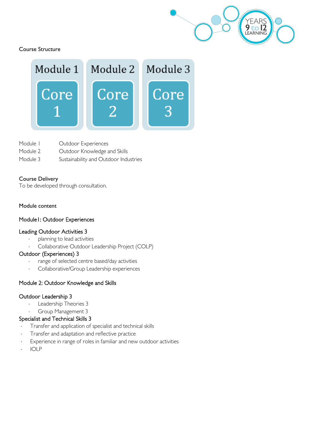

#### Course Structure



Module I Outdoor Experiences Module 2 **Outdoor Knowledge and Skills** Module 3 Sustainability and Outdoor Industries

#### Course Delivery

To be developed through consultation.

#### Module content

#### Module1: Outdoor Experiences

#### Leading Outdoor Activities 3

- planning to lead activities
- ⋅ Collaborative Outdoor Leadership Project (COLP)

#### Outdoor (Experiences) 3

- range of selected centre based/day activities
- Collaborative/Group Leadership experiences

### Module 2: Outdoor Knowledge and Skills

#### Outdoor Leadership 3

- Leadership Theories 3
- Group Management 3

#### Specialist and Technical Skills 3

- Transfer and application of specialist and technical skills
- Transfer and adaptation and reflective practice
- Experience in range of roles in familiar and new outdoor activities
- ⋅ IOLP